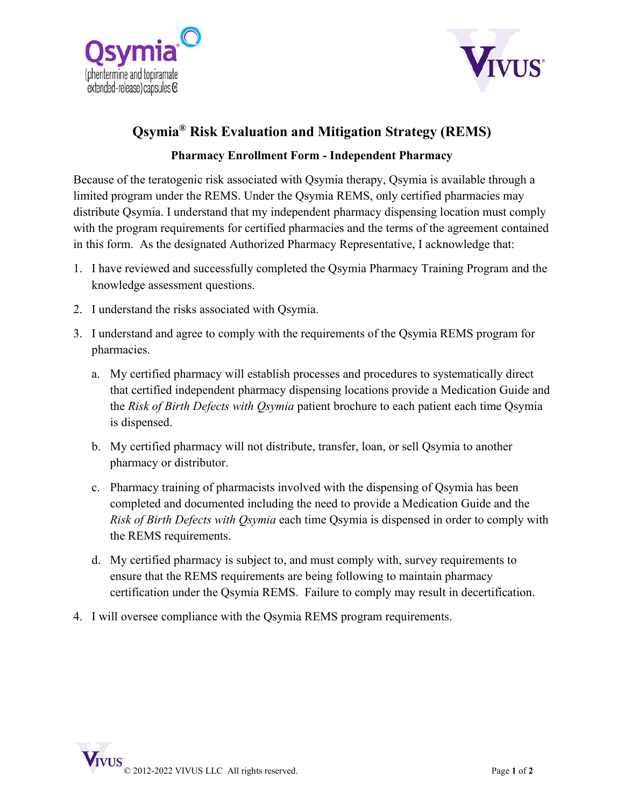



## **Qsymia® Risk Evaluation and Mitigation Strategy (REMS)**

## **Pharmacy Enrollment Form - Independent Pharmacy**

Because of the teratogenic risk associated with Qsymia therapy, Qsymia is available through a limited program under the REMS. Under the Qsymia REMS, only certified pharmacies may distribute Qsymia. I understand that my independent pharmacy dispensing location must comply with the program requirements for certified pharmacies and the terms of the agreement contained in this form. As the designated Authorized Pharmacy Representative, I acknowledge that:

- 1. I have reviewed and successfully completed the Qsymia Pharmacy Training Program and the knowledge assessment questions.
- 2. I understand the risks associated with Qsymia.
- 3. I understand and agree to comply with the requirements of the Qsymia REMS program for pharmacies.
	- a. My certified pharmacy will establish processes and procedures to systematically direct that certified independent pharmacy dispensing locations provide a Medication Guide and the *Risk of Birth Defects with Qsymia* patient brochure to each patient each time Qsymia is dispensed.
	- b. My certified pharmacy will not distribute, transfer, loan, or sell Qsymia to another pharmacy or distributor.
	- c. Pharmacy training of pharmacists involved with the dispensing of Qsymia has been completed and documented including the need to provide a Medication Guide and the *Risk of Birth Defects with Qsymia* each time Qsymia is dispensed in order to comply with the REMS requirements.
	- d. My certified pharmacy is subject to, and must comply with, survey requirements to ensure that the REMS requirements are being following to maintain pharmacy certification under the Qsymia REMS. Failure to comply may result in decertification.
- 4. I will oversee compliance with the Qsymia REMS program requirements.